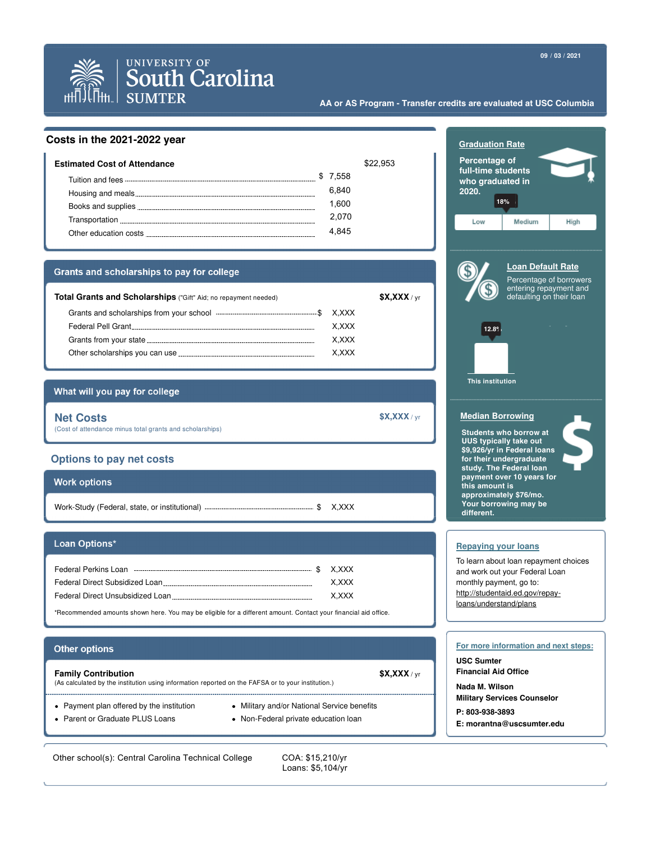



# **UNIVERSITY OF South Carolina SUMTER**

#### **AA or AS Program - Transfer credits are evaluated at USC Columbia**

## **Costs in the 2021-2022 year**

| Estimated Cost of Attendance                                                                                                                                                                                                         |          | \$22,953 |
|--------------------------------------------------------------------------------------------------------------------------------------------------------------------------------------------------------------------------------------|----------|----------|
| Tuition and fees <u>experience and the set of the set of the set of the set of the set of the set of the set of the set of the set of the set of the set of the set of the set of the set of the set of the set of the set of th</u> | \$ 7.558 |          |
|                                                                                                                                                                                                                                      | 6.840    |          |
|                                                                                                                                                                                                                                      | 1.600    |          |
|                                                                                                                                                                                                                                      | 2.070    |          |
|                                                                                                                                                                                                                                      | 4.84     |          |
|                                                                                                                                                                                                                                      |          |          |

#### Grants and scholarships to pay for college

| <b>Total Grants and Scholarships</b> ("Gift" Aid; no repayment needed)                                                                                                                                                         |       | X, XXX / <sub>yr</sub> |
|--------------------------------------------------------------------------------------------------------------------------------------------------------------------------------------------------------------------------------|-------|------------------------|
|                                                                                                                                                                                                                                | X.XXX |                        |
| Federal Pell Grant and the contract of the contract of the contract of the contract of the contract of the contract of the contract of the contract of the contract of the contract of the contract of the contract of the con | X.XXX |                        |
| Grants from your state example and the state of the state of the state of the state of the state of the state o                                                                                                                | X.XXX |                        |
| Other scholarships you can use                                                                                                                                                                                                 | X.XXX |                        |

## What will you pay for college

| <b>Net Costs</b>                                         | \$X,XXX / yr |
|----------------------------------------------------------|--------------|
| (Cost of attendance minus total grants and scholarships) |              |

### **Options to pay net costs**

| <b>Work options</b> |          |
|---------------------|----------|
|                     | \$ X.XXX |

#### Loan Options\*

| Federal Perkins Loan                                                                                                                                                                                                                 | \$X.XXX |
|--------------------------------------------------------------------------------------------------------------------------------------------------------------------------------------------------------------------------------------|---------|
| Federal Direct Subsidized Loan <b>contained a manufature of the Contract Control Control Control Control Control Control Control Control Control Control Control Control Control Control Control Control Control Control Control</b> | X.XXX   |
| Federal Direct Unsubsidized Loan                                                                                                                                                                                                     | X.XXX   |
|                                                                                                                                                                                                                                      |         |

\*Recommended amounts shown here. You may be eligible for a different amount. Contact your financial aid office.

## **Other options**

| <b>Family Contribution</b><br>(As calculated by the institution using information reported on the FAFSA or to your institution.) |                                             | X, XXX / yr |
|----------------------------------------------------------------------------------------------------------------------------------|---------------------------------------------|-------------|
| • Payment plan offered by the institution                                                                                        | • Military and/or National Service benefits |             |

- Parent or Graduate PLUS Loans
- 
- Non-Federal private education loan

Other school(s): Central Carolina Technical College COA: \$15,210/yr

Loans: \$5,104/yr

| <b>Graduation Rate</b><br>Percentage of<br>full-time students<br>who graduated in<br>2020. | 18%                                                                                                                                                                                                                                 |                         |
|--------------------------------------------------------------------------------------------|-------------------------------------------------------------------------------------------------------------------------------------------------------------------------------------------------------------------------------------|-------------------------|
| Low                                                                                        | Medium                                                                                                                                                                                                                              | High                    |
| $12.8^{\circ}$<br><b>This institution</b>                                                  | <b>Loan Default Rate</b><br>entering repayment and<br>defaulting on their loan                                                                                                                                                      | Percentage of borrowers |
| <b>Median Borrowing</b>                                                                    |                                                                                                                                                                                                                                     |                         |
| this amount is<br>different.                                                               | <b>Students who borrow at</b><br><b>UUS typically take out</b><br>\$9,926/yr in Federal loans<br>for their undergraduate<br>study. The Federal loan<br>payment over 10 years for<br>approximately \$76/mo.<br>Your borrowing may be |                         |
|                                                                                            |                                                                                                                                                                                                                                     |                         |
| <b>Repaying your loans</b>                                                                 | To learn about loan repayment choices                                                                                                                                                                                               |                         |

To learn about loan repayment choices and work out your Federal Loan monthly payment, go to: http://studentaid.ed.gov/repayloans/understand/plans

#### **For more information and next steps:**

**USC Sumter Financial Aid Office**

**Nada M. Wilson Military Services Counselor**

- **P: 803-938-3893**
- **E: morantna@uscsumter.edu**